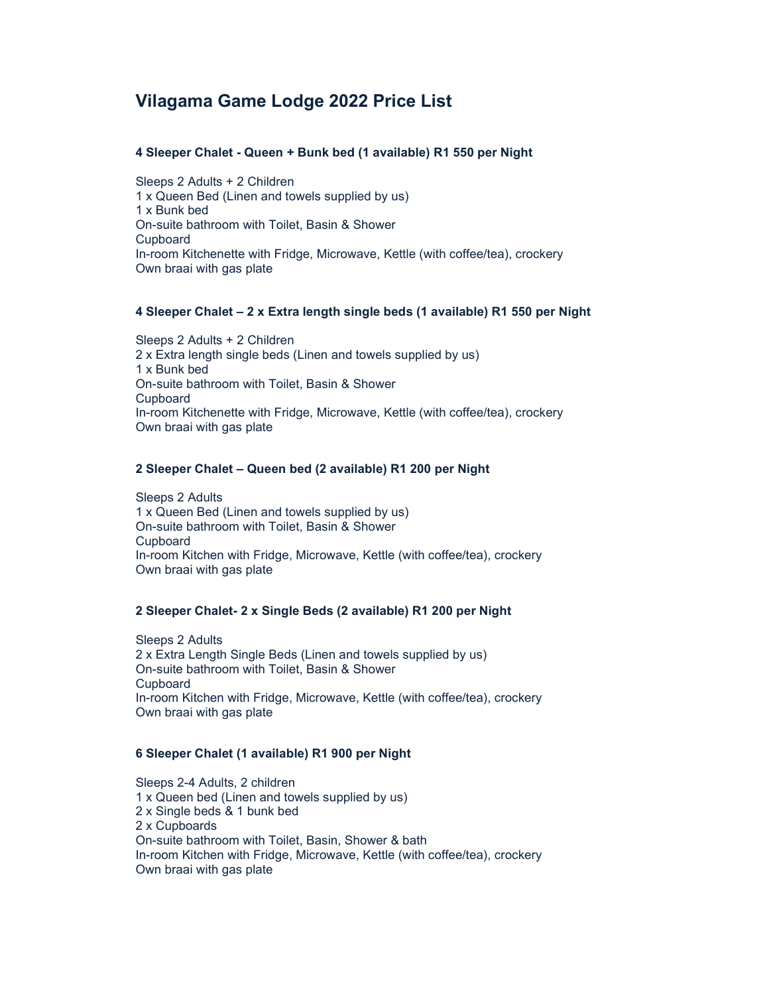# Vilagama Game Lodge 2022 Price List

# 4 Sleeper Chalet - Queen + Bunk bed (1 available) R1 550 per Night

Sleeps 2 Adults + 2 Children 1 x Queen Bed (Linen and towels supplied by us) 1 x Bunk bed On-suite bathroom with Toilet, Basin & Shower Cupboard In-room Kitchenette with Fridge, Microwave, Kettle (with coffee/tea), crockery Own braai with gas plate

# 4 Sleeper Chalet – 2 x Extra length single beds (1 available) R1 550 per Night

Sleeps 2 Adults + 2 Children 2 x Extra length single beds (Linen and towels supplied by us) 1 x Bunk bed On-suite bathroom with Toilet, Basin & Shower Cupboard In-room Kitchenette with Fridge, Microwave, Kettle (with coffee/tea), crockery Own braai with gas plate

# 2 Sleeper Chalet – Queen bed (2 available) R1 200 per Night

 Sleeps 2 Adults 1 x Queen Bed (Linen and towels supplied by us) On-suite bathroom with Toilet, Basin & Shower Cupboard In-room Kitchen with Fridge, Microwave, Kettle (with coffee/tea), crockery Own braai with gas plate

#### 2 Sleeper Chalet- 2 x Single Beds (2 available) R1 200 per Night

 Sleeps 2 Adults 2 x Extra Length Single Beds (Linen and towels supplied by us) On-suite bathroom with Toilet, Basin & Shower **Cupboard**  In-room Kitchen with Fridge, Microwave, Kettle (with coffee/tea), crockery Own braai with gas plate

# 6 Sleeper Chalet (1 available) R1 900 per Night

 Sleeps 2-4 Adults, 2 children 1 x Queen bed (Linen and towels supplied by us) 2 x Single beds & 1 bunk bed 2 x Cupboards On-suite bathroom with Toilet, Basin, Shower & bath In-room Kitchen with Fridge, Microwave, Kettle (with coffee/tea), crockery Own braai with gas plate